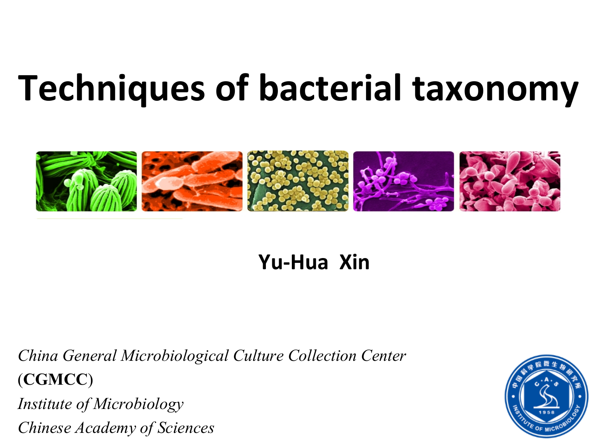# **Techniques of bacterial taxonomy**



### **Yu-Hua Xin**

*China General Microbiological Culture Collection Center*  (**CGMCC**) *Institute of Microbiology Chinese Academy of Sciences*

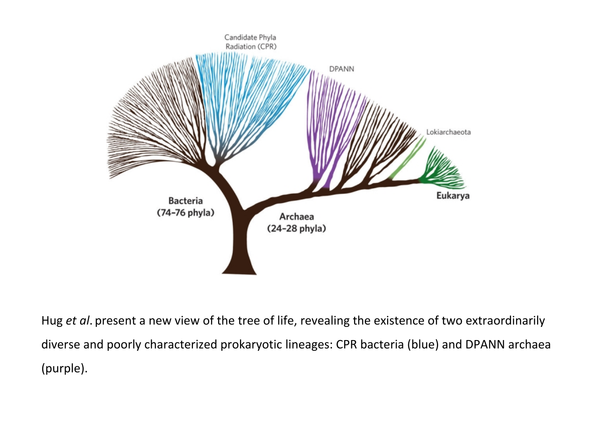

Hug *et al*. present a new view of the tree of life, revealing the existence of two extraordinarily diverse and poorly characterized prokaryotic lineages: CPR bacteria (blue) and DPANN archaea (purple).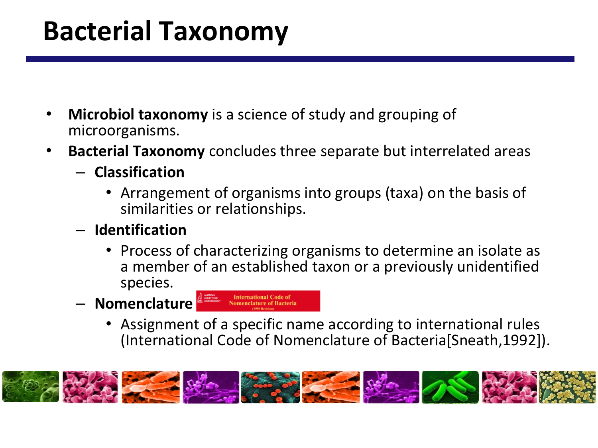## **Bacterial Taxonomy**

- **Microbiol taxonomy** is a science of study and grouping of microorganisms.
- **Bacterial Taxonomy** concludes three separate but interrelated areas
	- **Classification**
		- Arrangement of organisms into groups (taxa) on the basis of similarities or relationships.
	- **Identification**
		- Process of characterizing organisms to determine an isolate as a member of an established taxon or a previously unidentified species.
	- **Nomenclature**
- **International Code of<br>Nomenclature of Bacteri** 
	- Assignment of a specific name according to international rules (International Code of Nomenclature of Bacteria[Sneath,1992]).

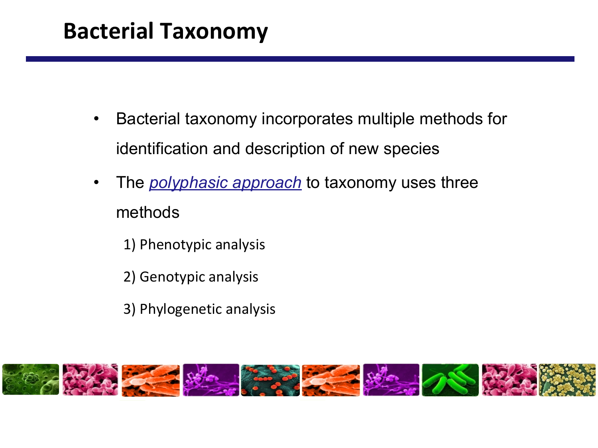### **Bacterial Taxonomy**

- Bacterial taxonomy incorporates multiple methods for identification and description of new species
- The *polyphasic approach* to taxonomy uses three methods
	- 1) Phenotypic analysis
	- 2) Genotypic analysis
	- 3) Phylogenetic analysis